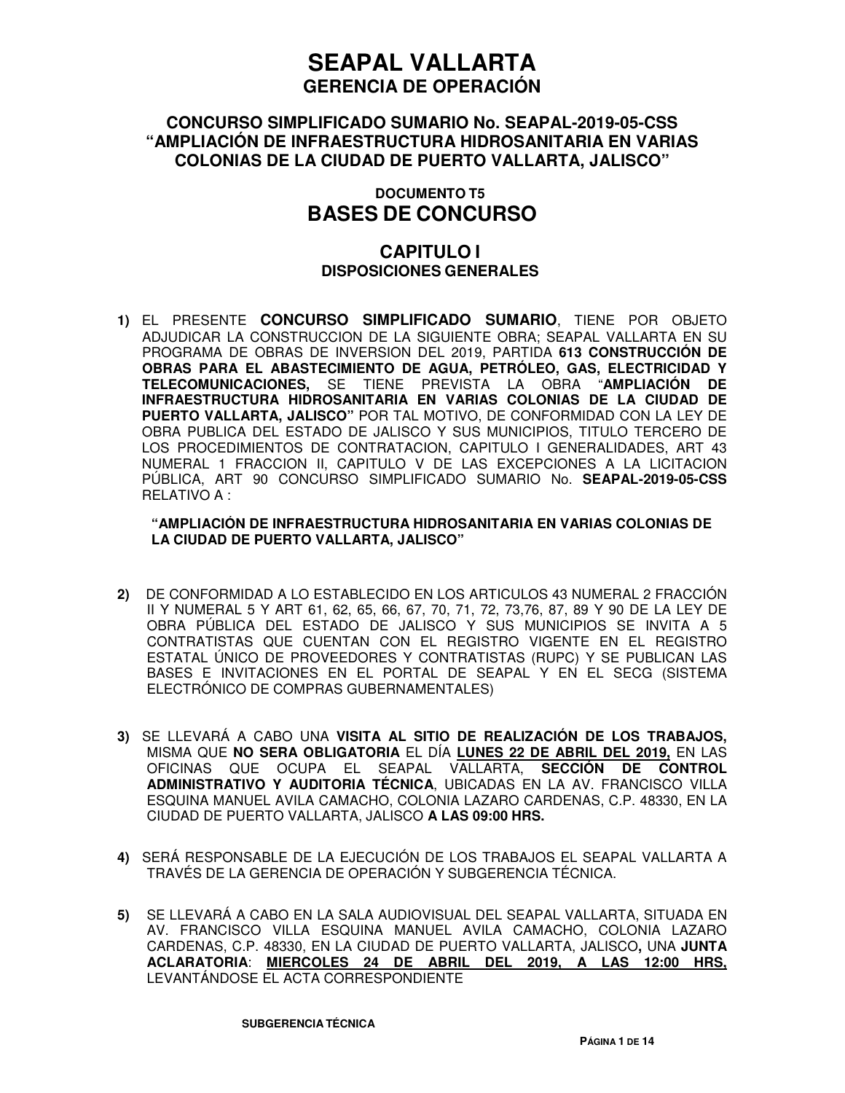### **CONCURSO SIMPLIFICADO SUMARIO No. SEAPAL-2019-05-CSS "AMPLIACIÓN DE INFRAESTRUCTURA HIDROSANITARIA EN VARIAS COLONIAS DE LA CIUDAD DE PUERTO VALLARTA, JALISCO"**

## **DOCUMENTO T5 BASES DE CONCURSO**

## **CAPITULO I DISPOSICIONES GENERALES**

**1)** EL PRESENTE **CONCURSO SIMPLIFICADO SUMARIO**, TIENE POR OBJETO ADJUDICAR LA CONSTRUCCION DE LA SIGUIENTE OBRA; SEAPAL VALLARTA EN SU PROGRAMA DE OBRAS DE INVERSION DEL 2019, PARTIDA **613 CONSTRUCCIÓN DE OBRAS PARA EL ABASTECIMIENTO DE AGUA, PETRÓLEO, GAS, ELECTRICIDAD Y TELECOMUNICACIONES,** SE TIENE PREVISTA LA OBRA "**AMPLIACIÓN DE INFRAESTRUCTURA HIDROSANITARIA EN VARIAS COLONIAS DE LA CIUDAD DE PUERTO VALLARTA, JALISCO"** POR TAL MOTIVO, DE CONFORMIDAD CON LA LEY DE OBRA PUBLICA DEL ESTADO DE JALISCO Y SUS MUNICIPIOS, TITULO TERCERO DE LOS PROCEDIMIENTOS DE CONTRATACION, CAPITULO I GENERALIDADES, ART 43 NUMERAL 1 FRACCION II, CAPITULO V DE LAS EXCEPCIONES A LA LICITACION PÚBLICA, ART 90 CONCURSO SIMPLIFICADO SUMARIO No. **SEAPAL-2019-05-CSS** RELATIVO A :

#### **"AMPLIACIÓN DE INFRAESTRUCTURA HIDROSANITARIA EN VARIAS COLONIAS DE LA CIUDAD DE PUERTO VALLARTA, JALISCO"**

- **2)** DE CONFORMIDAD A LO ESTABLECIDO EN LOS ARTICULOS 43 NUMERAL 2 FRACCIÓN II Y NUMERAL 5 Y ART 61, 62, 65, 66, 67, 70, 71, 72, 73,76, 87, 89 Y 90 DE LA LEY DE OBRA PÚBLICA DEL ESTADO DE JALISCO Y SUS MUNICIPIOS SE INVITA A 5 CONTRATISTAS QUE CUENTAN CON EL REGISTRO VIGENTE EN EL REGISTRO ESTATAL ÚNICO DE PROVEEDORES Y CONTRATISTAS (RUPC) Y SE PUBLICAN LAS BASES E INVITACIONES EN EL PORTAL DE SEAPAL Y EN EL SECG (SISTEMA ELECTRÓNICO DE COMPRAS GUBERNAMENTALES)
- **3)** SE LLEVARÁ A CABO UNA **VISITA AL SITIO DE REALIZACIÓN DE LOS TRABAJOS,** MISMA QUE **NO SERA OBLIGATORIA** EL DÍA **LUNES 22 DE ABRIL DEL 2019,** EN LAS OFICINAS QUE OCUPA EL SEAPAL VALLARTA, **SECCIÓN DE CONTROL ADMINISTRATIVO Y AUDITORIA TÉCNICA**, UBICADAS EN LA AV. FRANCISCO VILLA ESQUINA MANUEL AVILA CAMACHO, COLONIA LAZARO CARDENAS, C.P. 48330, EN LA CIUDAD DE PUERTO VALLARTA, JALISCO **A LAS 09:00 HRS.**
- **4)** SERÁ RESPONSABLE DE LA EJECUCIÓN DE LOS TRABAJOS EL SEAPAL VALLARTA A TRAVÉS DE LA GERENCIA DE OPERACIÓN Y SUBGERENCIA TÉCNICA.
- **5)** SE LLEVARÁ A CABO EN LA SALA AUDIOVISUAL DEL SEAPAL VALLARTA, SITUADA EN AV. FRANCISCO VILLA ESQUINA MANUEL AVILA CAMACHO, COLONIA LAZARO CARDENAS, C.P. 48330, EN LA CIUDAD DE PUERTO VALLARTA, JALISCO**,** UNA **JUNTA ACLARATORIA**: **MIERCOLES 24 DE ABRIL DEL 2019, A LAS 12:00 HRS,**  LEVANTÁNDOSE EL ACTA CORRESPONDIENTE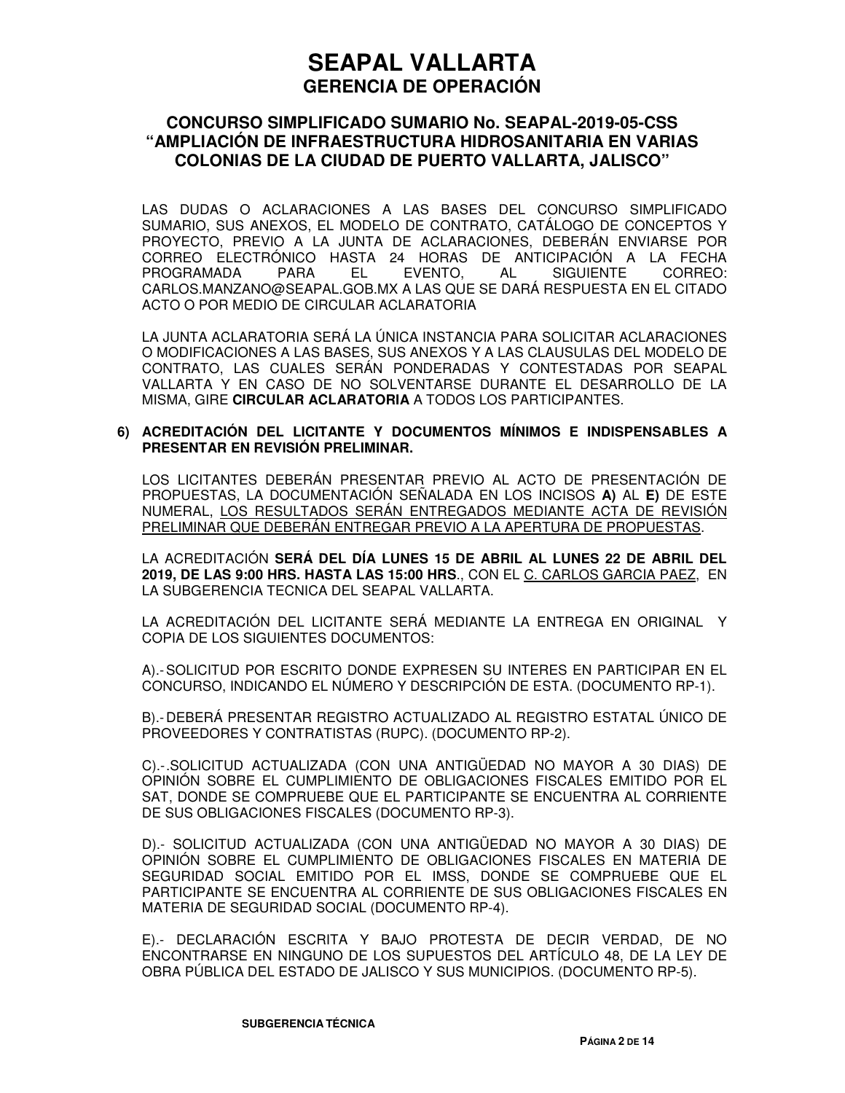### **CONCURSO SIMPLIFICADO SUMARIO No. SEAPAL-2019-05-CSS "AMPLIACIÓN DE INFRAESTRUCTURA HIDROSANITARIA EN VARIAS COLONIAS DE LA CIUDAD DE PUERTO VALLARTA, JALISCO"**

LAS DUDAS O ACLARACIONES A LAS BASES DEL CONCURSO SIMPLIFICADO SUMARIO, SUS ANEXOS, EL MODELO DE CONTRATO, CATÁLOGO DE CONCEPTOS Y PROYECTO, PREVIO A LA JUNTA DE ACLARACIONES, DEBERÁN ENVIARSE POR CORREO ELECTRÓNICO HASTA 24 HORAS DE ANTICIPACIÓN A LA FECHA PROGRAMADA PARA EL EVENTO, AL SIGUIENTE CORREO: CARLOS.MANZANO@SEAPAL.GOB.MX A LAS QUE SE DARÁ RESPUESTA EN EL CITADO ACTO O POR MEDIO DE CIRCULAR ACLARATORIA

LA JUNTA ACLARATORIA SERÁ LA ÚNICA INSTANCIA PARA SOLICITAR ACLARACIONES O MODIFICACIONES A LAS BASES, SUS ANEXOS Y A LAS CLAUSULAS DEL MODELO DE CONTRATO, LAS CUALES SERÁN PONDERADAS Y CONTESTADAS POR SEAPAL VALLARTA Y EN CASO DE NO SOLVENTARSE DURANTE EL DESARROLLO DE LA MISMA, GIRE **CIRCULAR ACLARATORIA** A TODOS LOS PARTICIPANTES.

#### **6) ACREDITACIÓN DEL LICITANTE Y DOCUMENTOS MÍNIMOS E INDISPENSABLES A PRESENTAR EN REVISIÓN PRELIMINAR.**

LOS LICITANTES DEBERÁN PRESENTAR PREVIO AL ACTO DE PRESENTACIÓN DE PROPUESTAS, LA DOCUMENTACIÓN SEÑALADA EN LOS INCISOS **A)** AL **E)** DE ESTE NUMERAL, LOS RESULTADOS SERÁN ENTREGADOS MEDIANTE ACTA DE REVISIÓN PRELIMINAR QUE DEBERÁN ENTREGAR PREVIO A LA APERTURA DE PROPUESTAS.

LA ACREDITACIÓN **SERÁ DEL DÍA LUNES 15 DE ABRIL AL LUNES 22 DE ABRIL DEL 2019, DE LAS 9:00 HRS. HASTA LAS 15:00 HRS**., CON EL C. CARLOS GARCIA PAEZ, EN LA SUBGERENCIA TECNICA DEL SEAPAL VALLARTA.

LA ACREDITACIÓN DEL LICITANTE SERÁ MEDIANTE LA ENTREGA EN ORIGINAL Y COPIA DE LOS SIGUIENTES DOCUMENTOS:

A).- SOLICITUD POR ESCRITO DONDE EXPRESEN SU INTERES EN PARTICIPAR EN EL CONCURSO, INDICANDO EL NÚMERO Y DESCRIPCIÓN DE ESTA. (DOCUMENTO RP-1).

B).- DEBERÁ PRESENTAR REGISTRO ACTUALIZADO AL REGISTRO ESTATAL ÚNICO DE PROVEEDORES Y CONTRATISTAS (RUPC). (DOCUMENTO RP-2).

C).- .SOLICITUD ACTUALIZADA (CON UNA ANTIGÜEDAD NO MAYOR A 30 DIAS) DE OPINIÓN SOBRE EL CUMPLIMIENTO DE OBLIGACIONES FISCALES EMITIDO POR EL SAT, DONDE SE COMPRUEBE QUE EL PARTICIPANTE SE ENCUENTRA AL CORRIENTE DE SUS OBLIGACIONES FISCALES (DOCUMENTO RP-3).

D).- SOLICITUD ACTUALIZADA (CON UNA ANTIGÜEDAD NO MAYOR A 30 DIAS) DE OPINIÓN SOBRE EL CUMPLIMIENTO DE OBLIGACIONES FISCALES EN MATERIA DE SEGURIDAD SOCIAL EMITIDO POR EL IMSS, DONDE SE COMPRUEBE QUE EL PARTICIPANTE SE ENCUENTRA AL CORRIENTE DE SUS OBLIGACIONES FISCALES EN MATERIA DE SEGURIDAD SOCIAL (DOCUMENTO RP-4).

E).- DECLARACIÓN ESCRITA Y BAJO PROTESTA DE DECIR VERDAD, DE NO ENCONTRARSE EN NINGUNO DE LOS SUPUESTOS DEL ARTÍCULO 48, DE LA LEY DE OBRA PÚBLICA DEL ESTADO DE JALISCO Y SUS MUNICIPIOS. (DOCUMENTO RP-5).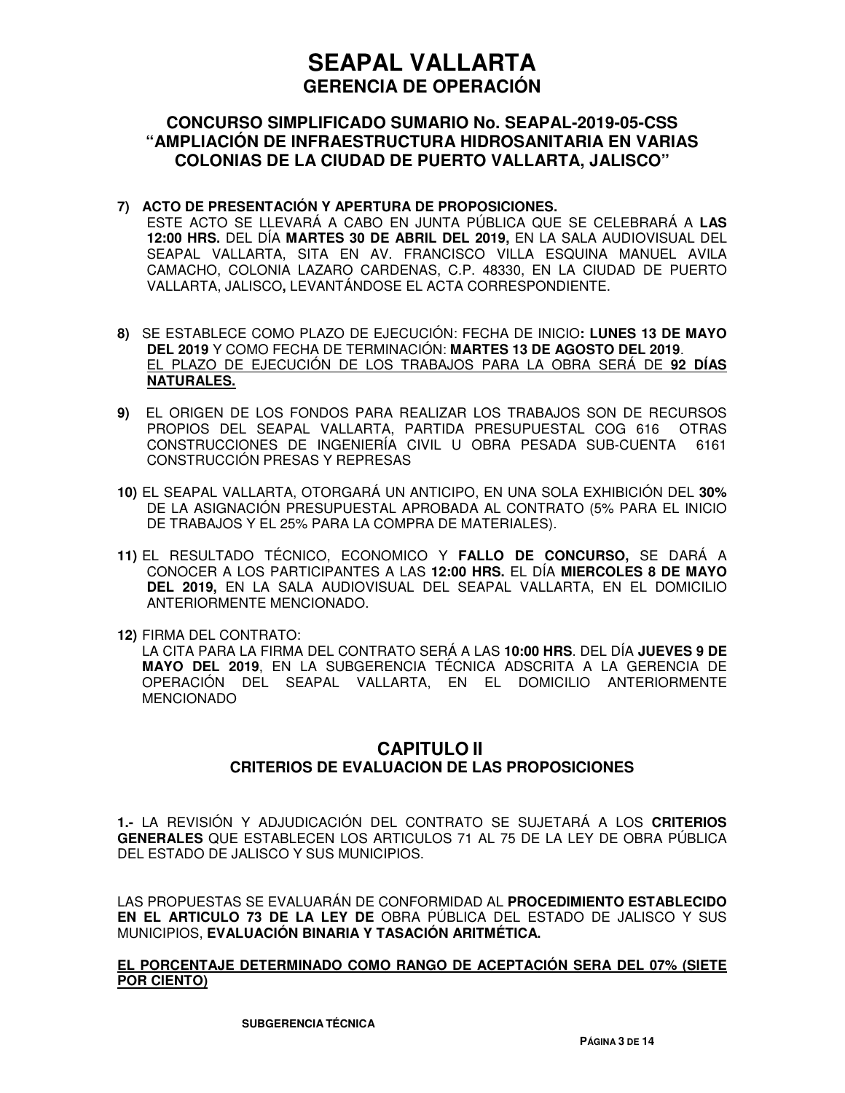### **CONCURSO SIMPLIFICADO SUMARIO No. SEAPAL-2019-05-CSS "AMPLIACIÓN DE INFRAESTRUCTURA HIDROSANITARIA EN VARIAS COLONIAS DE LA CIUDAD DE PUERTO VALLARTA, JALISCO"**

#### **7) ACTO DE PRESENTACIÓN Y APERTURA DE PROPOSICIONES.**

ESTE ACTO SE LLEVARÁ A CABO EN JUNTA PÚBLICA QUE SE CELEBRARÁ A **LAS 12:00 HRS.** DEL DÍA **MARTES 30 DE ABRIL DEL 2019,** EN LA SALA AUDIOVISUAL DEL SEAPAL VALLARTA, SITA EN AV. FRANCISCO VILLA ESQUINA MANUEL AVILA CAMACHO, COLONIA LAZARO CARDENAS, C.P. 48330, EN LA CIUDAD DE PUERTO VALLARTA, JALISCO**,** LEVANTÁNDOSE EL ACTA CORRESPONDIENTE.

- **8)** SE ESTABLECE COMO PLAZO DE EJECUCIÓN: FECHA DE INICIO**: LUNES 13 DE MAYO DEL 2019** Y COMO FECHA DE TERMINACIÓN: **MARTES 13 DE AGOSTO DEL 2019**. EL PLAZO DE EJECUCIÓN DE LOS TRABAJOS PARA LA OBRA SERÁ DE **92 DÍAS NATURALES.**
- **9)** EL ORIGEN DE LOS FONDOS PARA REALIZAR LOS TRABAJOS SON DE RECURSOS PROPIOS DEL SEAPAL VALLARTA, PARTIDA PRESUPUESTAL COG 616 OTRAS CONSTRUCCIONES DE INGENIERÍA CIVIL U OBRA PESADA SUB-CUENTA 6161 CONSTRUCCIÓN PRESAS Y REPRESAS
- **10)** EL SEAPAL VALLARTA, OTORGARÁ UN ANTICIPO, EN UNA SOLA EXHIBICIÓN DEL **30%** DE LA ASIGNACIÓN PRESUPUESTAL APROBADA AL CONTRATO (5% PARA EL INICIO DE TRABAJOS Y EL 25% PARA LA COMPRA DE MATERIALES).
- **11)** EL RESULTADO TÉCNICO, ECONOMICO Y **FALLO DE CONCURSO,** SE DARÁ A CONOCER A LOS PARTICIPANTES A LAS **12:00 HRS.** EL DÍA **MIERCOLES 8 DE MAYO DEL 2019,** EN LA SALA AUDIOVISUAL DEL SEAPAL VALLARTA, EN EL DOMICILIO ANTERIORMENTE MENCIONADO.
- **12)** FIRMA DEL CONTRATO:

LA CITA PARA LA FIRMA DEL CONTRATO SERÁ A LAS **10:00 HRS**. DEL DÍA **JUEVES 9 DE MAYO DEL 2019**, EN LA SUBGERENCIA TÉCNICA ADSCRITA A LA GERENCIA DE OPERACIÓN DEL SEAPAL VALLARTA, EN EL DOMICILIO ANTERIORMENTE MENCIONADO

## **CAPITULO II CRITERIOS DE EVALUACION DE LAS PROPOSICIONES**

**1.-** LA REVISIÓN Y ADJUDICACIÓN DEL CONTRATO SE SUJETARÁ A LOS **CRITERIOS GENERALES** QUE ESTABLECEN LOS ARTICULOS 71 AL 75 DE LA LEY DE OBRA PÚBLICA DEL ESTADO DE JALISCO Y SUS MUNICIPIOS.

LAS PROPUESTAS SE EVALUARÁN DE CONFORMIDAD AL **PROCEDIMIENTO ESTABLECIDO EN EL ARTICULO 73 DE LA LEY DE** OBRA PÚBLICA DEL ESTADO DE JALISCO Y SUS MUNICIPIOS, **EVALUACIÓN BINARIA Y TASACIÓN ARITMÉTICA.** 

#### **EL PORCENTAJE DETERMINADO COMO RANGO DE ACEPTACIÓN SERA DEL 07% (SIETE POR CIENTO)**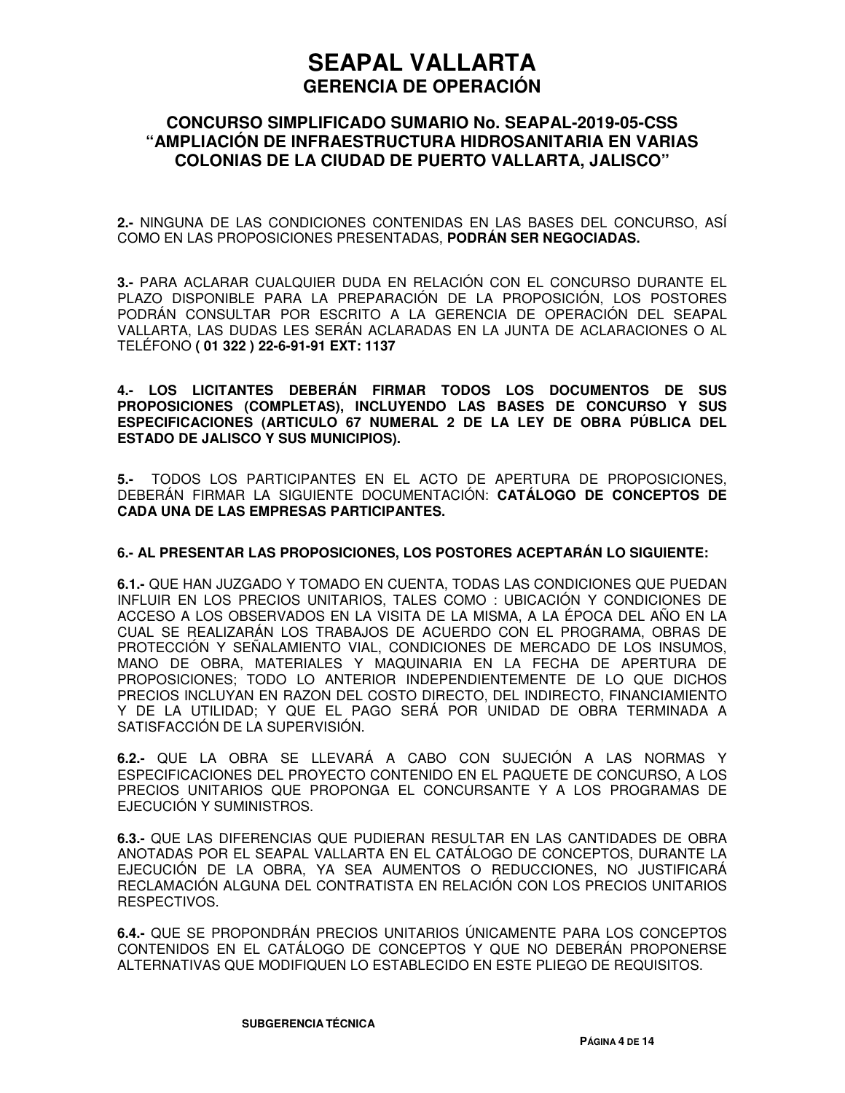### **CONCURSO SIMPLIFICADO SUMARIO No. SEAPAL-2019-05-CSS "AMPLIACIÓN DE INFRAESTRUCTURA HIDROSANITARIA EN VARIAS COLONIAS DE LA CIUDAD DE PUERTO VALLARTA, JALISCO"**

**2.-** NINGUNA DE LAS CONDICIONES CONTENIDAS EN LAS BASES DEL CONCURSO, ASÍ COMO EN LAS PROPOSICIONES PRESENTADAS, **PODRÁN SER NEGOCIADAS.**

**3.-** PARA ACLARAR CUALQUIER DUDA EN RELACIÓN CON EL CONCURSO DURANTE EL PLAZO DISPONIBLE PARA LA PREPARACIÓN DE LA PROPOSICIÓN, LOS POSTORES PODRÁN CONSULTAR POR ESCRITO A LA GERENCIA DE OPERACIÓN DEL SEAPAL VALLARTA, LAS DUDAS LES SERÁN ACLARADAS EN LA JUNTA DE ACLARACIONES O AL TELÉFONO **( 01 322 ) 22-6-91-91 EXT: 1137**

**4.- LOS LICITANTES DEBERÁN FIRMAR TODOS LOS DOCUMENTOS DE SUS PROPOSICIONES (COMPLETAS), INCLUYENDO LAS BASES DE CONCURSO Y SUS ESPECIFICACIONES (ARTICULO 67 NUMERAL 2 DE LA LEY DE OBRA PÚBLICA DEL ESTADO DE JALISCO Y SUS MUNICIPIOS).** 

**5.-** TODOS LOS PARTICIPANTES EN EL ACTO DE APERTURA DE PROPOSICIONES, DEBERÁN FIRMAR LA SIGUIENTE DOCUMENTACIÓN: **CATÁLOGO DE CONCEPTOS DE CADA UNA DE LAS EMPRESAS PARTICIPANTES.**

#### **6.- AL PRESENTAR LAS PROPOSICIONES, LOS POSTORES ACEPTARÁN LO SIGUIENTE:**

**6.1.-** QUE HAN JUZGADO Y TOMADO EN CUENTA, TODAS LAS CONDICIONES QUE PUEDAN INFLUIR EN LOS PRECIOS UNITARIOS, TALES COMO : UBICACIÓN Y CONDICIONES DE ACCESO A LOS OBSERVADOS EN LA VISITA DE LA MISMA, A LA ÉPOCA DEL AÑO EN LA CUAL SE REALIZARÁN LOS TRABAJOS DE ACUERDO CON EL PROGRAMA, OBRAS DE PROTECCIÓN Y SEÑALAMIENTO VIAL, CONDICIONES DE MERCADO DE LOS INSUMOS, MANO DE OBRA, MATERIALES Y MAQUINARIA EN LA FECHA DE APERTURA DE PROPOSICIONES; TODO LO ANTERIOR INDEPENDIENTEMENTE DE LO QUE DICHOS PRECIOS INCLUYAN EN RAZON DEL COSTO DIRECTO, DEL INDIRECTO, FINANCIAMIENTO Y DE LA UTILIDAD; Y QUE EL PAGO SERÁ POR UNIDAD DE OBRA TERMINADA A SATISFACCIÓN DE LA SUPERVISIÓN.

**6.2.-** QUE LA OBRA SE LLEVARÁ A CABO CON SUJECIÓN A LAS NORMAS Y ESPECIFICACIONES DEL PROYECTO CONTENIDO EN EL PAQUETE DE CONCURSO, A LOS PRECIOS UNITARIOS QUE PROPONGA EL CONCURSANTE Y A LOS PROGRAMAS DE EJECUCIÓN Y SUMINISTROS.

**6.3.-** QUE LAS DIFERENCIAS QUE PUDIERAN RESULTAR EN LAS CANTIDADES DE OBRA ANOTADAS POR EL SEAPAL VALLARTA EN EL CATÁLOGO DE CONCEPTOS, DURANTE LA EJECUCIÓN DE LA OBRA, YA SEA AUMENTOS O REDUCCIONES, NO JUSTIFICARÁ RECLAMACIÓN ALGUNA DEL CONTRATISTA EN RELACIÓN CON LOS PRECIOS UNITARIOS RESPECTIVOS.

**6.4.-** QUE SE PROPONDRÁN PRECIOS UNITARIOS ÚNICAMENTE PARA LOS CONCEPTOS CONTENIDOS EN EL CATÁLOGO DE CONCEPTOS Y QUE NO DEBERÁN PROPONERSE ALTERNATIVAS QUE MODIFIQUEN LO ESTABLECIDO EN ESTE PLIEGO DE REQUISITOS.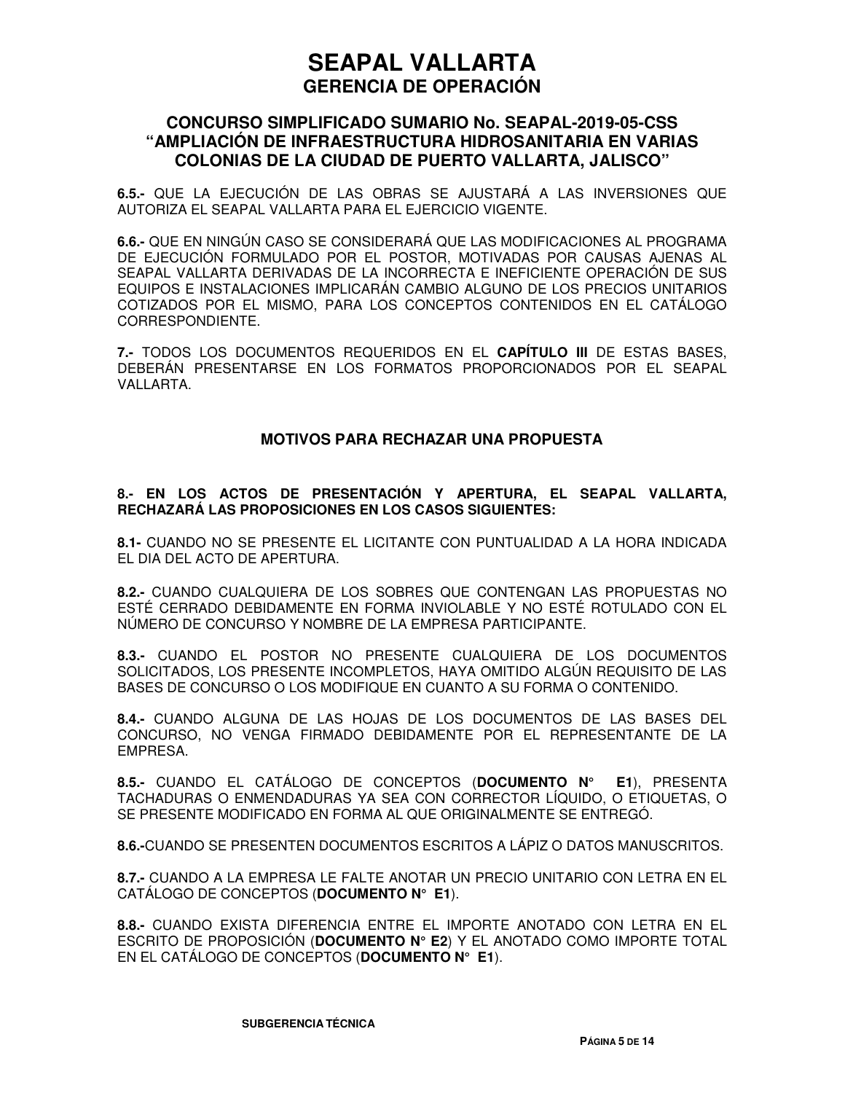### **CONCURSO SIMPLIFICADO SUMARIO No. SEAPAL-2019-05-CSS "AMPLIACIÓN DE INFRAESTRUCTURA HIDROSANITARIA EN VARIAS COLONIAS DE LA CIUDAD DE PUERTO VALLARTA, JALISCO"**

**6.5.-** QUE LA EJECUCIÓN DE LAS OBRAS SE AJUSTARÁ A LAS INVERSIONES QUE AUTORIZA EL SEAPAL VALLARTA PARA EL EJERCICIO VIGENTE.

**6.6.-** QUE EN NINGÚN CASO SE CONSIDERARÁ QUE LAS MODIFICACIONES AL PROGRAMA DE EJECUCIÓN FORMULADO POR EL POSTOR, MOTIVADAS POR CAUSAS AJENAS AL SEAPAL VALLARTA DERIVADAS DE LA INCORRECTA E INEFICIENTE OPERACIÓN DE SUS EQUIPOS E INSTALACIONES IMPLICARÁN CAMBIO ALGUNO DE LOS PRECIOS UNITARIOS COTIZADOS POR EL MISMO, PARA LOS CONCEPTOS CONTENIDOS EN EL CATÁLOGO CORRESPONDIENTE.

**7.-** TODOS LOS DOCUMENTOS REQUERIDOS EN EL **CAPÍTULO III** DE ESTAS BASES, DEBERÁN PRESENTARSE EN LOS FORMATOS PROPORCIONADOS POR EL SEAPAL VALLARTA.

#### **MOTIVOS PARA RECHAZAR UNA PROPUESTA**

#### **8.- EN LOS ACTOS DE PRESENTACIÓN Y APERTURA, EL SEAPAL VALLARTA, RECHAZARÁ LAS PROPOSICIONES EN LOS CASOS SIGUIENTES:**

**8.1-** CUANDO NO SE PRESENTE EL LICITANTE CON PUNTUALIDAD A LA HORA INDICADA EL DIA DEL ACTO DE APERTURA.

**8.2.-** CUANDO CUALQUIERA DE LOS SOBRES QUE CONTENGAN LAS PROPUESTAS NO ESTÉ CERRADO DEBIDAMENTE EN FORMA INVIOLABLE Y NO ESTÉ ROTULADO CON EL NÚMERO DE CONCURSO Y NOMBRE DE LA EMPRESA PARTICIPANTE.

**8.3.-** CUANDO EL POSTOR NO PRESENTE CUALQUIERA DE LOS DOCUMENTOS SOLICITADOS, LOS PRESENTE INCOMPLETOS, HAYA OMITIDO ALGÚN REQUISITO DE LAS BASES DE CONCURSO O LOS MODIFIQUE EN CUANTO A SU FORMA O CONTENIDO.

**8.4.-** CUANDO ALGUNA DE LAS HOJAS DE LOS DOCUMENTOS DE LAS BASES DEL CONCURSO, NO VENGA FIRMADO DEBIDAMENTE POR EL REPRESENTANTE DE LA EMPRESA.

**8.5.-** CUANDO EL CATÁLOGO DE CONCEPTOS (**DOCUMENTO N° E1**), PRESENTA TACHADURAS O ENMENDADURAS YA SEA CON CORRECTOR LÍQUIDO, O ETIQUETAS, O SE PRESENTE MODIFICADO EN FORMA AL QUE ORIGINALMENTE SE ENTREGÓ.

**8.6.-**CUANDO SE PRESENTEN DOCUMENTOS ESCRITOS A LÁPIZ O DATOS MANUSCRITOS.

**8.7.-** CUANDO A LA EMPRESA LE FALTE ANOTAR UN PRECIO UNITARIO CON LETRA EN EL CATÁLOGO DE CONCEPTOS (**DOCUMENTO N° E1**).

**8.8.-** CUANDO EXISTA DIFERENCIA ENTRE EL IMPORTE ANOTADO CON LETRA EN EL ESCRITO DE PROPOSICIÓN (**DOCUMENTO N° E2**) Y EL ANOTADO COMO IMPORTE TOTAL EN EL CATÁLOGO DE CONCEPTOS (**DOCUMENTO N° E1**).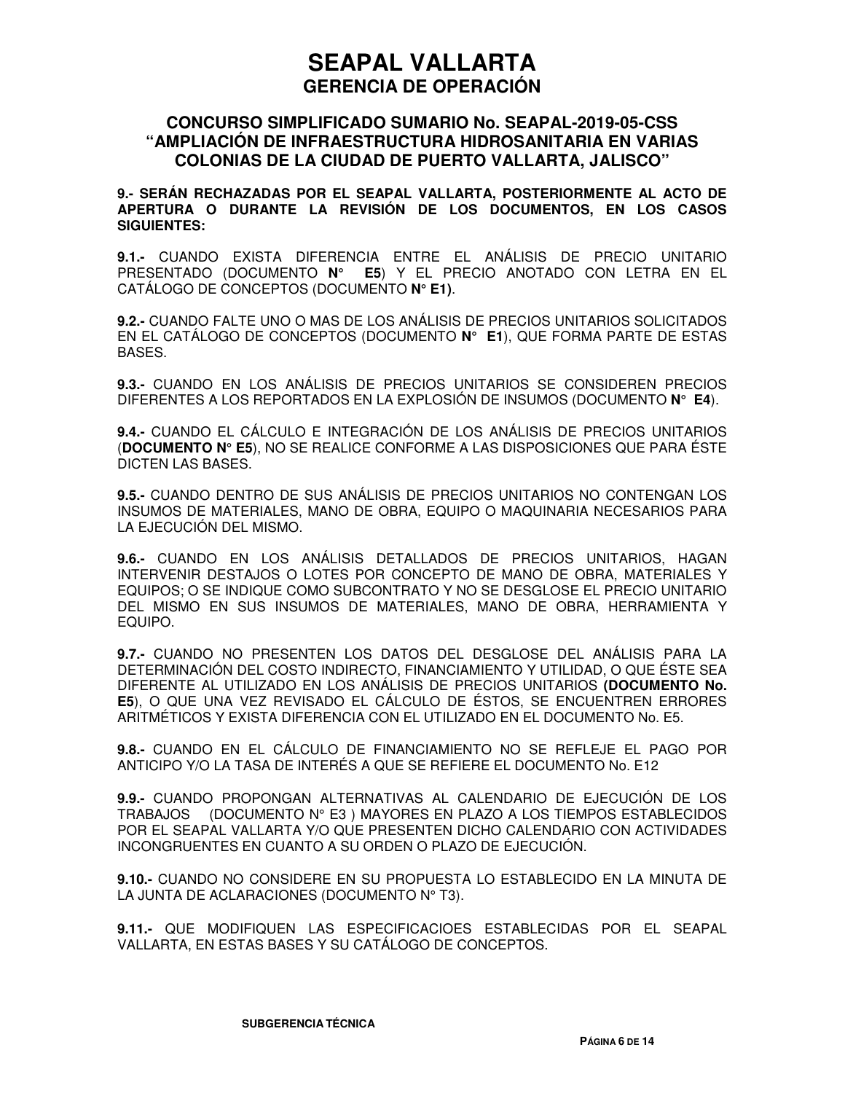### **CONCURSO SIMPLIFICADO SUMARIO No. SEAPAL-2019-05-CSS "AMPLIACIÓN DE INFRAESTRUCTURA HIDROSANITARIA EN VARIAS COLONIAS DE LA CIUDAD DE PUERTO VALLARTA, JALISCO"**

**9.- SERÁN RECHAZADAS POR EL SEAPAL VALLARTA, POSTERIORMENTE AL ACTO DE APERTURA O DURANTE LA REVISIÓN DE LOS DOCUMENTOS, EN LOS CASOS SIGUIENTES:** 

**9.1.-** CUANDO EXISTA DIFERENCIA ENTRE EL ANÁLISIS DE PRECIO UNITARIO PRESENTADO (DOCUMENTO **N° E5**) Y EL PRECIO ANOTADO CON LETRA EN EL CATÁLOGO DE CONCEPTOS (DOCUMENTO **N° E1)**.

**9.2.-** CUANDO FALTE UNO O MAS DE LOS ANÁLISIS DE PRECIOS UNITARIOS SOLICITADOS EN EL CATÁLOGO DE CONCEPTOS (DOCUMENTO **N° E1**), QUE FORMA PARTE DE ESTAS BASES.

**9.3.-** CUANDO EN LOS ANÁLISIS DE PRECIOS UNITARIOS SE CONSIDEREN PRECIOS DIFERENTES A LOS REPORTADOS EN LA EXPLOSIÓN DE INSUMOS (DOCUMENTO **N° E4**).

**9.4.-** CUANDO EL CÁLCULO E INTEGRACIÓN DE LOS ANÁLISIS DE PRECIOS UNITARIOS (**DOCUMENTO N° E5**), NO SE REALICE CONFORME A LAS DISPOSICIONES QUE PARA ÉSTE DICTEN LAS BASES.

**9.5.-** CUANDO DENTRO DE SUS ANÁLISIS DE PRECIOS UNITARIOS NO CONTENGAN LOS INSUMOS DE MATERIALES, MANO DE OBRA, EQUIPO O MAQUINARIA NECESARIOS PARA LA EJECUCIÓN DEL MISMO.

**9.6.-** CUANDO EN LOS ANÁLISIS DETALLADOS DE PRECIOS UNITARIOS, HAGAN INTERVENIR DESTAJOS O LOTES POR CONCEPTO DE MANO DE OBRA, MATERIALES Y EQUIPOS; O SE INDIQUE COMO SUBCONTRATO Y NO SE DESGLOSE EL PRECIO UNITARIO DEL MISMO EN SUS INSUMOS DE MATERIALES, MANO DE OBRA, HERRAMIENTA Y EQUIPO.

**9.7.-** CUANDO NO PRESENTEN LOS DATOS DEL DESGLOSE DEL ANÁLISIS PARA LA DETERMINACIÓN DEL COSTO INDIRECTO, FINANCIAMIENTO Y UTILIDAD, O QUE ÉSTE SEA DIFERENTE AL UTILIZADO EN LOS ANÁLISIS DE PRECIOS UNITARIOS **(DOCUMENTO No. E5**), O QUE UNA VEZ REVISADO EL CÁLCULO DE ÉSTOS, SE ENCUENTREN ERRORES ARITMÉTICOS Y EXISTA DIFERENCIA CON EL UTILIZADO EN EL DOCUMENTO No. E5.

**9.8.-** CUANDO EN EL CÁLCULO DE FINANCIAMIENTO NO SE REFLEJE EL PAGO POR ANTICIPO Y/O LA TASA DE INTERÉS A QUE SE REFIERE EL DOCUMENTO No. E12

**9.9.-** CUANDO PROPONGAN ALTERNATIVAS AL CALENDARIO DE EJECUCIÓN DE LOS TRABAJOS (DOCUMENTO N° E3 ) MAYORES EN PLAZO A LOS TIEMPOS ESTABLECIDOS POR EL SEAPAL VALLARTA Y/O QUE PRESENTEN DICHO CALENDARIO CON ACTIVIDADES INCONGRUENTES EN CUANTO A SU ORDEN O PLAZO DE EJECUCIÓN.

**9.10.-** CUANDO NO CONSIDERE EN SU PROPUESTA LO ESTABLECIDO EN LA MINUTA DE LA JUNTA DE ACLARACIONES (DOCUMENTO Nº T3).

**9.11.-** QUE MODIFIQUEN LAS ESPECIFICACIOES ESTABLECIDAS POR EL SEAPAL VALLARTA, EN ESTAS BASES Y SU CATÁLOGO DE CONCEPTOS.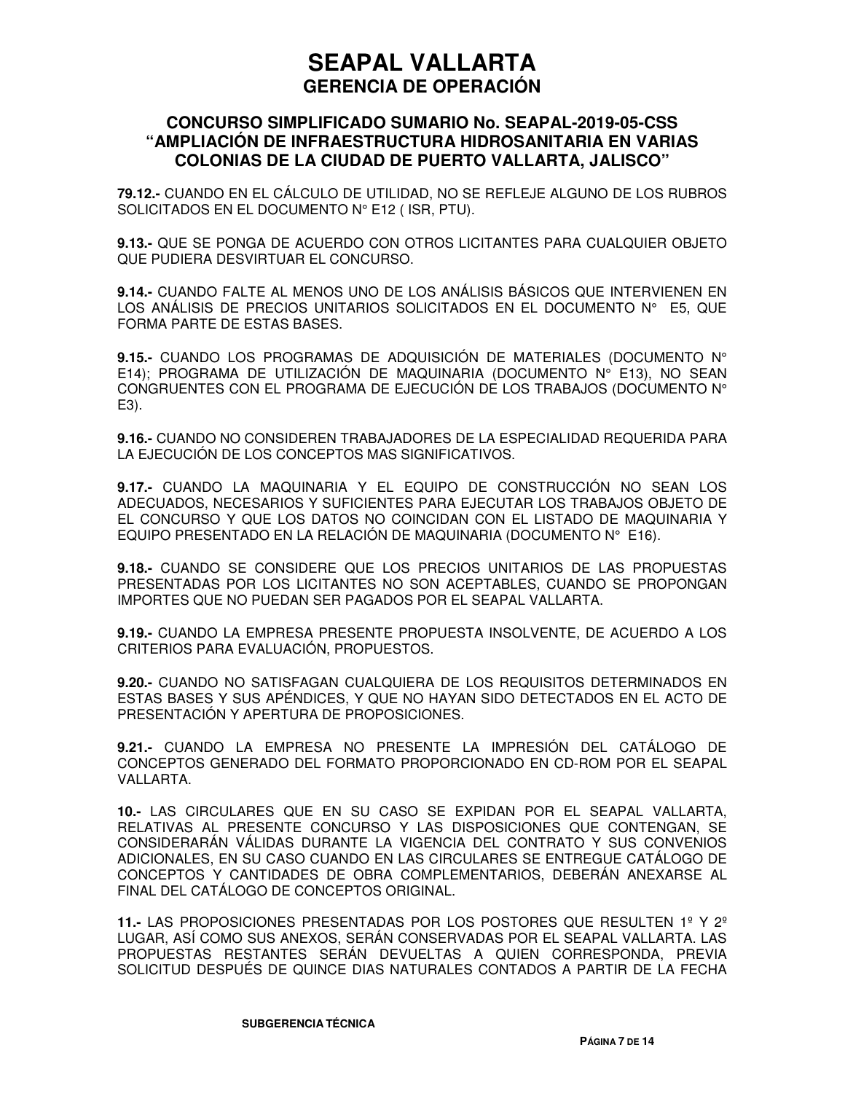### **CONCURSO SIMPLIFICADO SUMARIO No. SEAPAL-2019-05-CSS "AMPLIACIÓN DE INFRAESTRUCTURA HIDROSANITARIA EN VARIAS COLONIAS DE LA CIUDAD DE PUERTO VALLARTA, JALISCO"**

**79.12.-** CUANDO EN EL CÁLCULO DE UTILIDAD, NO SE REFLEJE ALGUNO DE LOS RUBROS SOLICITADOS EN EL DOCUMENTO N° E12 ( ISR, PTU).

**9.13.-** QUE SE PONGA DE ACUERDO CON OTROS LICITANTES PARA CUALQUIER OBJETO QUE PUDIERA DESVIRTUAR EL CONCURSO.

**9.14.-** CUANDO FALTE AL MENOS UNO DE LOS ANÁLISIS BÁSICOS QUE INTERVIENEN EN LOS ANÁLISIS DE PRECIOS UNITARIOS SOLICITADOS EN EL DOCUMENTO N° E5, QUE FORMA PARTE DE ESTAS BASES.

**9.15.-** CUANDO LOS PROGRAMAS DE ADQUISICIÓN DE MATERIALES (DOCUMENTO N° E14); PROGRAMA DE UTILIZACIÓN DE MAQUINARIA (DOCUMENTO N° E13), NO SEAN CONGRUENTES CON EL PROGRAMA DE EJECUCIÓN DE LOS TRABAJOS (DOCUMENTO N° E3).

**9.16.-** CUANDO NO CONSIDEREN TRABAJADORES DE LA ESPECIALIDAD REQUERIDA PARA LA EJECUCIÓN DE LOS CONCEPTOS MAS SIGNIFICATIVOS.

**9.17.-** CUANDO LA MAQUINARIA Y EL EQUIPO DE CONSTRUCCIÓN NO SEAN LOS ADECUADOS, NECESARIOS Y SUFICIENTES PARA EJECUTAR LOS TRABAJOS OBJETO DE EL CONCURSO Y QUE LOS DATOS NO COINCIDAN CON EL LISTADO DE MAQUINARIA Y EQUIPO PRESENTADO EN LA RELACIÓN DE MAQUINARIA (DOCUMENTO N° E16).

**9.18.-** CUANDO SE CONSIDERE QUE LOS PRECIOS UNITARIOS DE LAS PROPUESTAS PRESENTADAS POR LOS LICITANTES NO SON ACEPTABLES, CUANDO SE PROPONGAN IMPORTES QUE NO PUEDAN SER PAGADOS POR EL SEAPAL VALLARTA.

**9.19.-** CUANDO LA EMPRESA PRESENTE PROPUESTA INSOLVENTE, DE ACUERDO A LOS CRITERIOS PARA EVALUACIÓN, PROPUESTOS.

**9.20.-** CUANDO NO SATISFAGAN CUALQUIERA DE LOS REQUISITOS DETERMINADOS EN ESTAS BASES Y SUS APÉNDICES, Y QUE NO HAYAN SIDO DETECTADOS EN EL ACTO DE PRESENTACIÓN Y APERTURA DE PROPOSICIONES.

**9.21.-** CUANDO LA EMPRESA NO PRESENTE LA IMPRESIÓN DEL CATÁLOGO DE CONCEPTOS GENERADO DEL FORMATO PROPORCIONADO EN CD-ROM POR EL SEAPAL VALLARTA.

**10.-** LAS CIRCULARES QUE EN SU CASO SE EXPIDAN POR EL SEAPAL VALLARTA, RELATIVAS AL PRESENTE CONCURSO Y LAS DISPOSICIONES QUE CONTENGAN, SE CONSIDERARÁN VÁLIDAS DURANTE LA VIGENCIA DEL CONTRATO Y SUS CONVENIOS ADICIONALES, EN SU CASO CUANDO EN LAS CIRCULARES SE ENTREGUE CATÁLOGO DE CONCEPTOS Y CANTIDADES DE OBRA COMPLEMENTARIOS, DEBERÁN ANEXARSE AL FINAL DEL CATÁLOGO DE CONCEPTOS ORIGINAL.

**11.-** LAS PROPOSICIONES PRESENTADAS POR LOS POSTORES QUE RESULTEN 1º Y 2º LUGAR, ASÍ COMO SUS ANEXOS, SERÁN CONSERVADAS POR EL SEAPAL VALLARTA. LAS PROPUESTAS RESTANTES SERÁN DEVUELTAS A QUIEN CORRESPONDA, PREVIA SOLICITUD DESPUÉS DE QUINCE DIAS NATURALES CONTADOS A PARTIR DE LA FECHA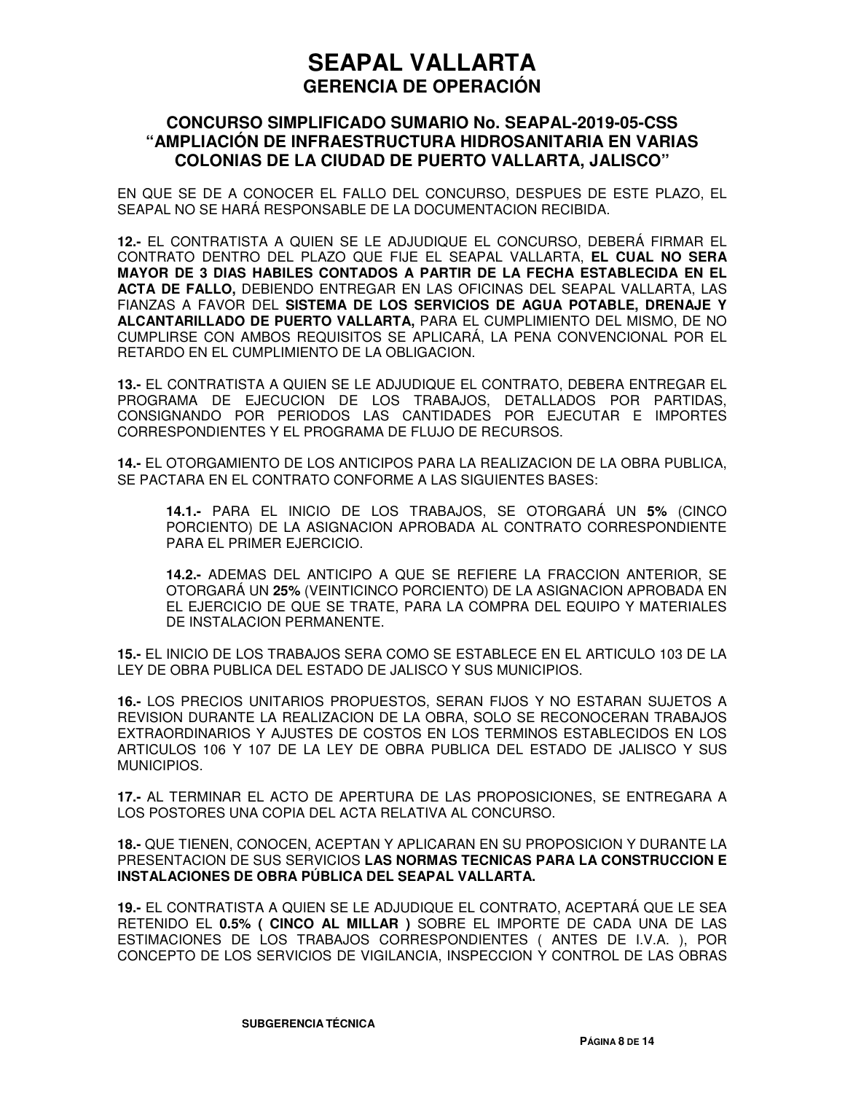### **CONCURSO SIMPLIFICADO SUMARIO No. SEAPAL-2019-05-CSS "AMPLIACIÓN DE INFRAESTRUCTURA HIDROSANITARIA EN VARIAS COLONIAS DE LA CIUDAD DE PUERTO VALLARTA, JALISCO"**

EN QUE SE DE A CONOCER EL FALLO DEL CONCURSO, DESPUES DE ESTE PLAZO, EL SEAPAL NO SE HARÁ RESPONSABLE DE LA DOCUMENTACION RECIBIDA.

**12.-** EL CONTRATISTA A QUIEN SE LE ADJUDIQUE EL CONCURSO, DEBERÁ FIRMAR EL CONTRATO DENTRO DEL PLAZO QUE FIJE EL SEAPAL VALLARTA, **EL CUAL NO SERA MAYOR DE 3 DIAS HABILES CONTADOS A PARTIR DE LA FECHA ESTABLECIDA EN EL ACTA DE FALLO,** DEBIENDO ENTREGAR EN LAS OFICINAS DEL SEAPAL VALLARTA, LAS FIANZAS A FAVOR DEL **SISTEMA DE LOS SERVICIOS DE AGUA POTABLE, DRENAJE Y ALCANTARILLADO DE PUERTO VALLARTA,** PARA EL CUMPLIMIENTO DEL MISMO, DE NO CUMPLIRSE CON AMBOS REQUISITOS SE APLICARÁ, LA PENA CONVENCIONAL POR EL RETARDO EN EL CUMPLIMIENTO DE LA OBLIGACION.

**13.-** EL CONTRATISTA A QUIEN SE LE ADJUDIQUE EL CONTRATO, DEBERA ENTREGAR EL PROGRAMA DE EJECUCION DE LOS TRABAJOS, DETALLADOS POR PARTIDAS, CONSIGNANDO POR PERIODOS LAS CANTIDADES POR EJECUTAR E IMPORTES CORRESPONDIENTES Y EL PROGRAMA DE FLUJO DE RECURSOS.

**14.-** EL OTORGAMIENTO DE LOS ANTICIPOS PARA LA REALIZACION DE LA OBRA PUBLICA, SE PACTARA EN EL CONTRATO CONFORME A LAS SIGUIENTES BASES:

**14.1.-** PARA EL INICIO DE LOS TRABAJOS, SE OTORGARÁ UN **5%** (CINCO PORCIENTO) DE LA ASIGNACION APROBADA AL CONTRATO CORRESPONDIENTE PARA EL PRIMER EJERCICIO.

**14.2.-** ADEMAS DEL ANTICIPO A QUE SE REFIERE LA FRACCION ANTERIOR, SE OTORGARÁ UN **25%** (VEINTICINCO PORCIENTO) DE LA ASIGNACION APROBADA EN EL EJERCICIO DE QUE SE TRATE, PARA LA COMPRA DEL EQUIPO Y MATERIALES DE INSTALACION PERMANENTE.

**15.-** EL INICIO DE LOS TRABAJOS SERA COMO SE ESTABLECE EN EL ARTICULO 103 DE LA LEY DE OBRA PUBLICA DEL ESTADO DE JALISCO Y SUS MUNICIPIOS.

**16.-** LOS PRECIOS UNITARIOS PROPUESTOS, SERAN FIJOS Y NO ESTARAN SUJETOS A REVISION DURANTE LA REALIZACION DE LA OBRA, SOLO SE RECONOCERAN TRABAJOS EXTRAORDINARIOS Y AJUSTES DE COSTOS EN LOS TERMINOS ESTABLECIDOS EN LOS ARTICULOS 106 Y 107 DE LA LEY DE OBRA PUBLICA DEL ESTADO DE JALISCO Y SUS MUNICIPIOS.

**17.-** AL TERMINAR EL ACTO DE APERTURA DE LAS PROPOSICIONES, SE ENTREGARA A LOS POSTORES UNA COPIA DEL ACTA RELATIVA AL CONCURSO.

**18.-** QUE TIENEN, CONOCEN, ACEPTAN Y APLICARAN EN SU PROPOSICION Y DURANTE LA PRESENTACION DE SUS SERVICIOS **LAS NORMAS TECNICAS PARA LA CONSTRUCCION E INSTALACIONES DE OBRA PÚBLICA DEL SEAPAL VALLARTA.**

**19.-** EL CONTRATISTA A QUIEN SE LE ADJUDIQUE EL CONTRATO, ACEPTARÁ QUE LE SEA RETENIDO EL **0.5% ( CINCO AL MILLAR )** SOBRE EL IMPORTE DE CADA UNA DE LAS ESTIMACIONES DE LOS TRABAJOS CORRESPONDIENTES ( ANTES DE I.V.A. ), POR CONCEPTO DE LOS SERVICIOS DE VIGILANCIA, INSPECCION Y CONTROL DE LAS OBRAS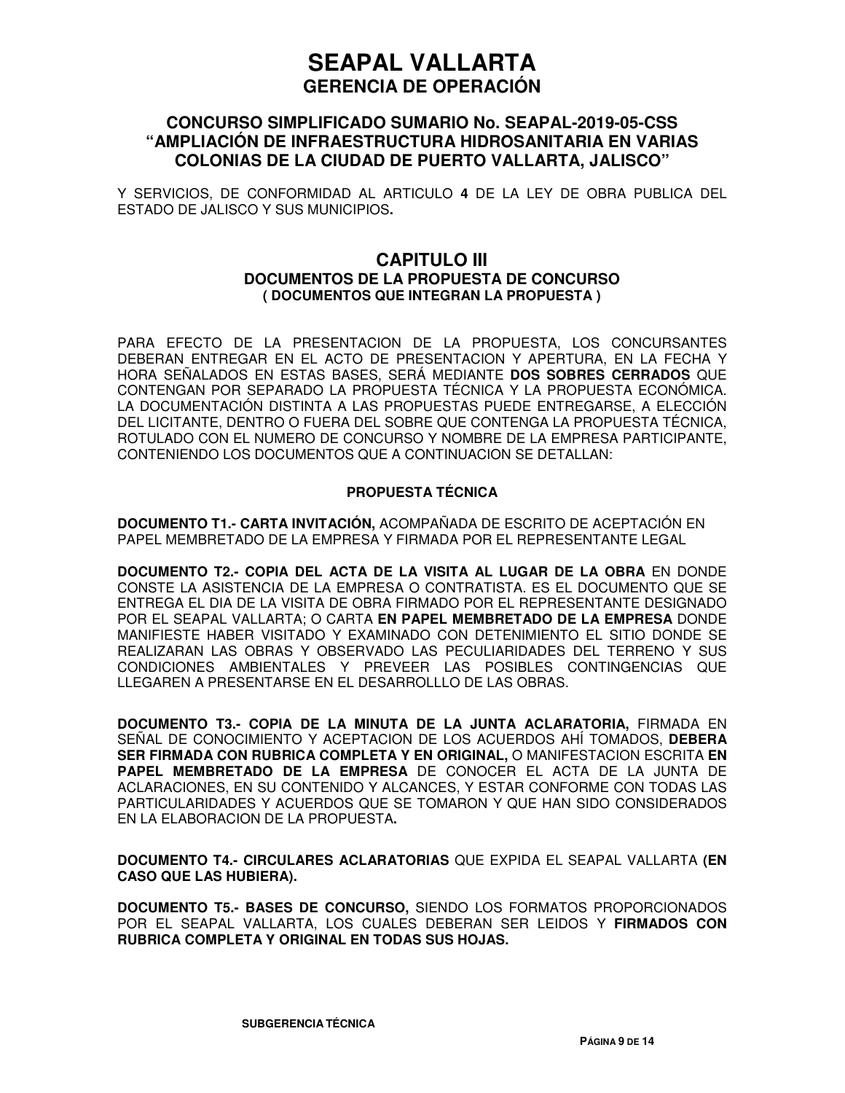### **CONCURSO SIMPLIFICADO SUMARIO No. SEAPAL-2019-05-CSS "AMPLIACIÓN DE INFRAESTRUCTURA HIDROSANITARIA EN VARIAS COLONIAS DE LA CIUDAD DE PUERTO VALLARTA, JALISCO"**

Y SERVICIOS, DE CONFORMIDAD AL ARTICULO **4** DE LA LEY DE OBRA PUBLICA DEL ESTADO DE JALISCO Y SUS MUNICIPIOS**.**

### **CAPITULO III DOCUMENTOS DE LA PROPUESTA DE CONCURSO ( DOCUMENTOS QUE INTEGRAN LA PROPUESTA )**

PARA EFECTO DE LA PRESENTACION DE LA PROPUESTA, LOS CONCURSANTES DEBERAN ENTREGAR EN EL ACTO DE PRESENTACION Y APERTURA, EN LA FECHA Y HORA SEÑALADOS EN ESTAS BASES, SERÁ MEDIANTE **DOS SOBRES CERRADOS** QUE CONTENGAN POR SEPARADO LA PROPUESTA TÉCNICA Y LA PROPUESTA ECONÓMICA. LA DOCUMENTACIÓN DISTINTA A LAS PROPUESTAS PUEDE ENTREGARSE, A ELECCIÓN DEL LICITANTE, DENTRO O FUERA DEL SOBRE QUE CONTENGA LA PROPUESTA TÉCNICA, ROTULADO CON EL NUMERO DE CONCURSO Y NOMBRE DE LA EMPRESA PARTICIPANTE, CONTENIENDO LOS DOCUMENTOS QUE A CONTINUACION SE DETALLAN:

#### **PROPUESTA TÉCNICA**

**DOCUMENTO T1.- CARTA INVITACIÓN,** ACOMPAÑADA DE ESCRITO DE ACEPTACIÓN EN PAPEL MEMBRETADO DE LA EMPRESA Y FIRMADA POR EL REPRESENTANTE LEGAL

**DOCUMENTO T2.- COPIA DEL ACTA DE LA VISITA AL LUGAR DE LA OBRA** EN DONDE CONSTE LA ASISTENCIA DE LA EMPRESA O CONTRATISTA. ES EL DOCUMENTO QUE SE ENTREGA EL DIA DE LA VISITA DE OBRA FIRMADO POR EL REPRESENTANTE DESIGNADO POR EL SEAPAL VALLARTA; O CARTA **EN PAPEL MEMBRETADO DE LA EMPRESA** DONDE MANIFIESTE HABER VISITADO Y EXAMINADO CON DETENIMIENTO EL SITIO DONDE SE REALIZARAN LAS OBRAS Y OBSERVADO LAS PECULIARIDADES DEL TERRENO Y SUS CONDICIONES AMBIENTALES Y PREVEER LAS POSIBLES CONTINGENCIAS QUE LLEGAREN A PRESENTARSE EN EL DESARROLLLO DE LAS OBRAS.

**DOCUMENTO T3.- COPIA DE LA MINUTA DE LA JUNTA ACLARATORIA,** FIRMADA EN SEÑAL DE CONOCIMIENTO Y ACEPTACION DE LOS ACUERDOS AHÍ TOMADOS, **DEBERA SER FIRMADA CON RUBRICA COMPLETA Y EN ORIGINAL,** O MANIFESTACION ESCRITA **EN PAPEL MEMBRETADO DE LA EMPRESA** DE CONOCER EL ACTA DE LA JUNTA DE ACLARACIONES, EN SU CONTENIDO Y ALCANCES, Y ESTAR CONFORME CON TODAS LAS PARTICULARIDADES Y ACUERDOS QUE SE TOMARON Y QUE HAN SIDO CONSIDERADOS EN LA ELABORACION DE LA PROPUESTA**.**

**DOCUMENTO T4.- CIRCULARES ACLARATORIAS** QUE EXPIDA EL SEAPAL VALLARTA **(EN CASO QUE LAS HUBIERA).** 

**DOCUMENTO T5.- BASES DE CONCURSO,** SIENDO LOS FORMATOS PROPORCIONADOS POR EL SEAPAL VALLARTA, LOS CUALES DEBERAN SER LEIDOS Y **FIRMADOS CON RUBRICA COMPLETA Y ORIGINAL EN TODAS SUS HOJAS.**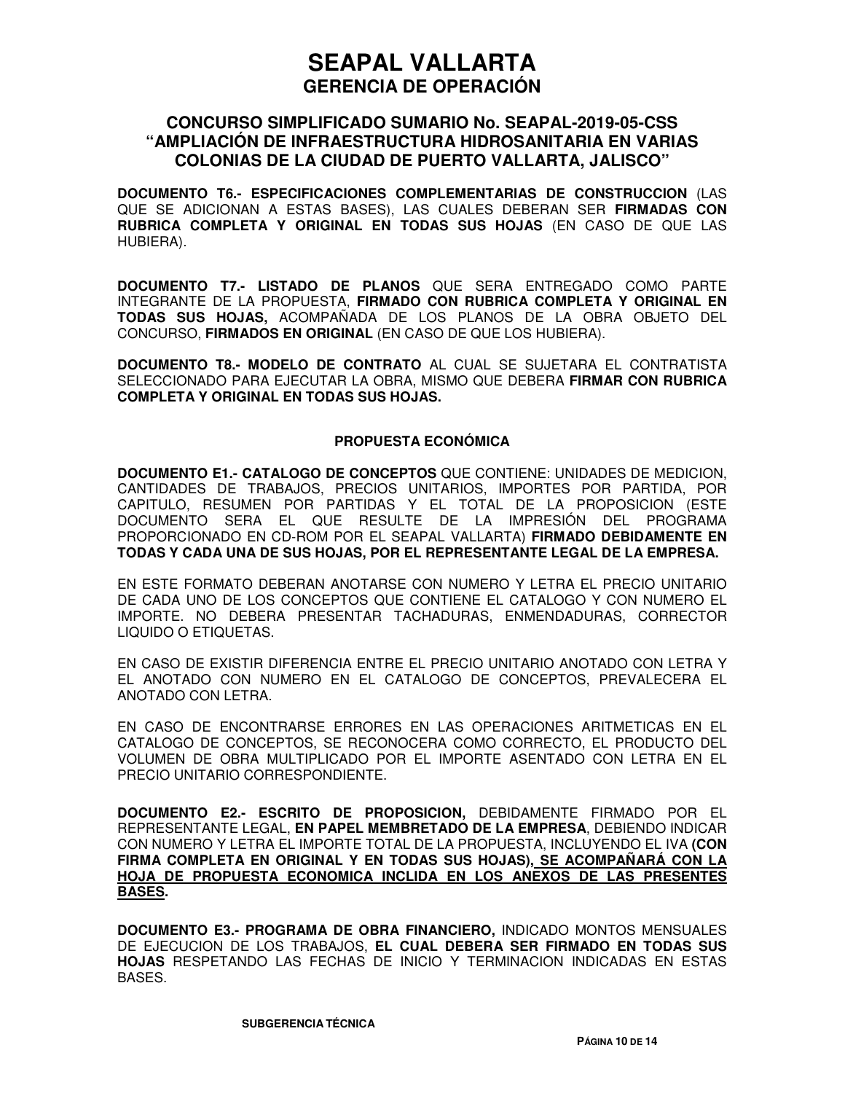### **CONCURSO SIMPLIFICADO SUMARIO No. SEAPAL-2019-05-CSS "AMPLIACIÓN DE INFRAESTRUCTURA HIDROSANITARIA EN VARIAS COLONIAS DE LA CIUDAD DE PUERTO VALLARTA, JALISCO"**

**DOCUMENTO T6.- ESPECIFICACIONES COMPLEMENTARIAS DE CONSTRUCCION** (LAS QUE SE ADICIONAN A ESTAS BASES), LAS CUALES DEBERAN SER **FIRMADAS CON RUBRICA COMPLETA Y ORIGINAL EN TODAS SUS HOJAS** (EN CASO DE QUE LAS HUBIERA).

**DOCUMENTO T7.- LISTADO DE PLANOS** QUE SERA ENTREGADO COMO PARTE INTEGRANTE DE LA PROPUESTA, **FIRMADO CON RUBRICA COMPLETA Y ORIGINAL EN TODAS SUS HOJAS,** ACOMPAÑADA DE LOS PLANOS DE LA OBRA OBJETO DEL CONCURSO, **FIRMADOS EN ORIGINAL** (EN CASO DE QUE LOS HUBIERA).

**DOCUMENTO T8.- MODELO DE CONTRATO** AL CUAL SE SUJETARA EL CONTRATISTA SELECCIONADO PARA EJECUTAR LA OBRA, MISMO QUE DEBERA **FIRMAR CON RUBRICA COMPLETA Y ORIGINAL EN TODAS SUS HOJAS.**

#### **PROPUESTA ECONÓMICA**

**DOCUMENTO E1.- CATALOGO DE CONCEPTOS** QUE CONTIENE: UNIDADES DE MEDICION, CANTIDADES DE TRABAJOS, PRECIOS UNITARIOS, IMPORTES POR PARTIDA, POR CAPITULO, RESUMEN POR PARTIDAS Y EL TOTAL DE LA PROPOSICION (ESTE DOCUMENTO SERA EL QUE RESULTE DE LA IMPRESIÓN DEL PROGRAMA PROPORCIONADO EN CD-ROM POR EL SEAPAL VALLARTA) **FIRMADO DEBIDAMENTE EN TODAS Y CADA UNA DE SUS HOJAS, POR EL REPRESENTANTE LEGAL DE LA EMPRESA.**

EN ESTE FORMATO DEBERAN ANOTARSE CON NUMERO Y LETRA EL PRECIO UNITARIO DE CADA UNO DE LOS CONCEPTOS QUE CONTIENE EL CATALOGO Y CON NUMERO EL IMPORTE. NO DEBERA PRESENTAR TACHADURAS, ENMENDADURAS, CORRECTOR LIQUIDO O ETIQUETAS.

EN CASO DE EXISTIR DIFERENCIA ENTRE EL PRECIO UNITARIO ANOTADO CON LETRA Y EL ANOTADO CON NUMERO EN EL CATALOGO DE CONCEPTOS, PREVALECERA EL ANOTADO CON LETRA.

EN CASO DE ENCONTRARSE ERRORES EN LAS OPERACIONES ARITMETICAS EN EL CATALOGO DE CONCEPTOS, SE RECONOCERA COMO CORRECTO, EL PRODUCTO DEL VOLUMEN DE OBRA MULTIPLICADO POR EL IMPORTE ASENTADO CON LETRA EN EL PRECIO UNITARIO CORRESPONDIENTE.

**DOCUMENTO E2.- ESCRITO DE PROPOSICION,** DEBIDAMENTE FIRMADO POR EL REPRESENTANTE LEGAL, **EN PAPEL MEMBRETADO DE LA EMPRESA**, DEBIENDO INDICAR CON NUMERO Y LETRA EL IMPORTE TOTAL DE LA PROPUESTA, INCLUYENDO EL IVA **(CON FIRMA COMPLETA EN ORIGINAL Y EN TODAS SUS HOJAS), SE ACOMPAÑARÁ CON LA HOJA DE PROPUESTA ECONOMICA INCLIDA EN LOS ANEXOS DE LAS PRESENTES BASES.**

**DOCUMENTO E3.- PROGRAMA DE OBRA FINANCIERO,** INDICADO MONTOS MENSUALES DE EJECUCION DE LOS TRABAJOS, **EL CUAL DEBERA SER FIRMADO EN TODAS SUS HOJAS** RESPETANDO LAS FECHAS DE INICIO Y TERMINACION INDICADAS EN ESTAS BASES.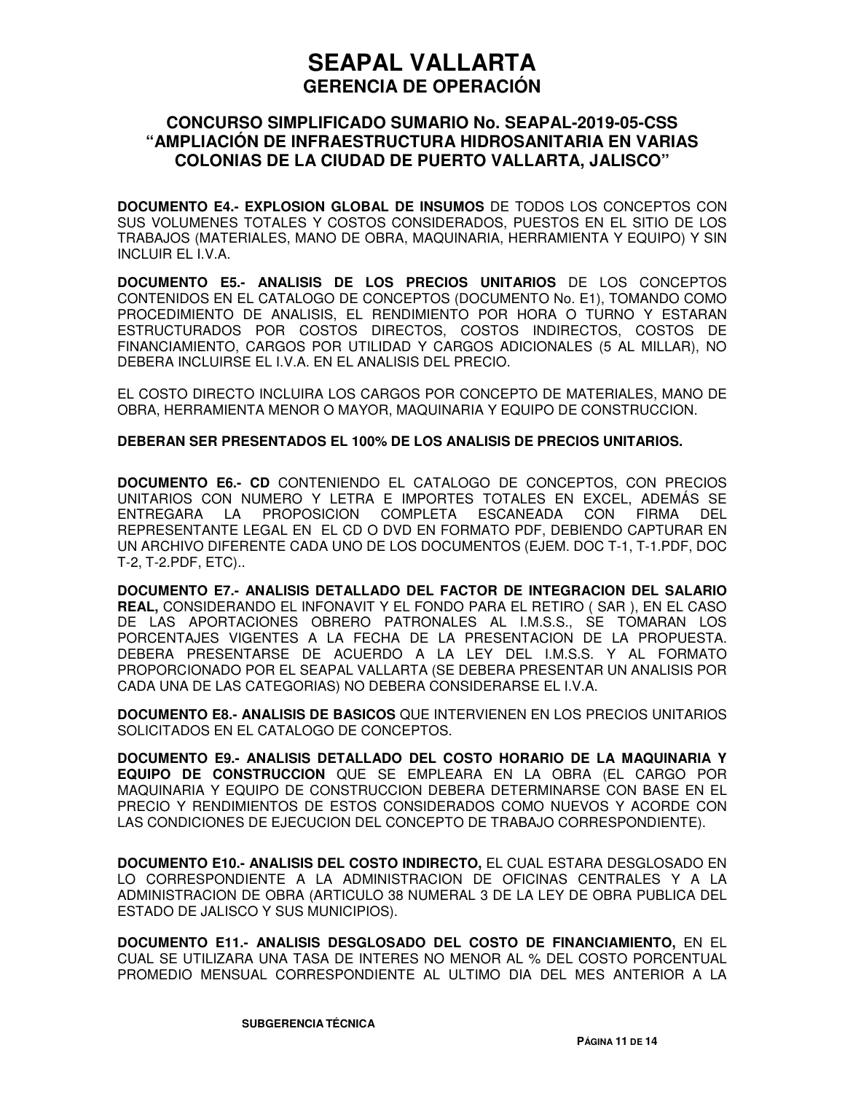### **CONCURSO SIMPLIFICADO SUMARIO No. SEAPAL-2019-05-CSS "AMPLIACIÓN DE INFRAESTRUCTURA HIDROSANITARIA EN VARIAS COLONIAS DE LA CIUDAD DE PUERTO VALLARTA, JALISCO"**

**DOCUMENTO E4.- EXPLOSION GLOBAL DE INSUMOS** DE TODOS LOS CONCEPTOS CON SUS VOLUMENES TOTALES Y COSTOS CONSIDERADOS, PUESTOS EN EL SITIO DE LOS TRABAJOS (MATERIALES, MANO DE OBRA, MAQUINARIA, HERRAMIENTA Y EQUIPO) Y SIN INCLUIR EL I.V.A.

**DOCUMENTO E5.- ANALISIS DE LOS PRECIOS UNITARIOS** DE LOS CONCEPTOS CONTENIDOS EN EL CATALOGO DE CONCEPTOS (DOCUMENTO No. E1), TOMANDO COMO PROCEDIMIENTO DE ANALISIS, EL RENDIMIENTO POR HORA O TURNO Y ESTARAN ESTRUCTURADOS POR COSTOS DIRECTOS, COSTOS INDIRECTOS, COSTOS DE FINANCIAMIENTO, CARGOS POR UTILIDAD Y CARGOS ADICIONALES (5 AL MILLAR), NO DEBERA INCLUIRSE EL I.V.A. EN EL ANALISIS DEL PRECIO.

EL COSTO DIRECTO INCLUIRA LOS CARGOS POR CONCEPTO DE MATERIALES, MANO DE OBRA, HERRAMIENTA MENOR O MAYOR, MAQUINARIA Y EQUIPO DE CONSTRUCCION.

#### **DEBERAN SER PRESENTADOS EL 100% DE LOS ANALISIS DE PRECIOS UNITARIOS.**

**DOCUMENTO E6.- CD** CONTENIENDO EL CATALOGO DE CONCEPTOS, CON PRECIOS UNITARIOS CON NUMERO Y LETRA E IMPORTES TOTALES EN EXCEL, ADEMÁS SE ENTREGARA LA PROPOSICION COMPLETA ESCANEADA CON FIRMA DEL REPRESENTANTE LEGAL EN EL CD O DVD EN FORMATO PDF, DEBIENDO CAPTURAR EN UN ARCHIVO DIFERENTE CADA UNO DE LOS DOCUMENTOS (EJEM. DOC T-1, T-1.PDF, DOC T-2, T-2.PDF, ETC)..

**DOCUMENTO E7.- ANALISIS DETALLADO DEL FACTOR DE INTEGRACION DEL SALARIO REAL,** CONSIDERANDO EL INFONAVIT Y EL FONDO PARA EL RETIRO ( SAR ), EN EL CASO DE LAS APORTACIONES OBRERO PATRONALES AL I.M.S.S., SE TOMARAN LOS PORCENTAJES VIGENTES A LA FECHA DE LA PRESENTACION DE LA PROPUESTA. DEBERA PRESENTARSE DE ACUERDO A LA LEY DEL I.M.S.S. Y AL FORMATO PROPORCIONADO POR EL SEAPAL VALLARTA (SE DEBERA PRESENTAR UN ANALISIS POR CADA UNA DE LAS CATEGORIAS) NO DEBERA CONSIDERARSE EL I.V.A.

**DOCUMENTO E8.- ANALISIS DE BASICOS** QUE INTERVIENEN EN LOS PRECIOS UNITARIOS SOLICITADOS EN EL CATALOGO DE CONCEPTOS.

**DOCUMENTO E9.- ANALISIS DETALLADO DEL COSTO HORARIO DE LA MAQUINARIA Y EQUIPO DE CONSTRUCCION** QUE SE EMPLEARA EN LA OBRA (EL CARGO POR MAQUINARIA Y EQUIPO DE CONSTRUCCION DEBERA DETERMINARSE CON BASE EN EL PRECIO Y RENDIMIENTOS DE ESTOS CONSIDERADOS COMO NUEVOS Y ACORDE CON LAS CONDICIONES DE EJECUCION DEL CONCEPTO DE TRABAJO CORRESPONDIENTE).

**DOCUMENTO E10.- ANALISIS DEL COSTO INDIRECTO,** EL CUAL ESTARA DESGLOSADO EN LO CORRESPONDIENTE A LA ADMINISTRACION DE OFICINAS CENTRALES Y A LA ADMINISTRACION DE OBRA (ARTICULO 38 NUMERAL 3 DE LA LEY DE OBRA PUBLICA DEL ESTADO DE JALISCO Y SUS MUNICIPIOS).

**DOCUMENTO E11.- ANALISIS DESGLOSADO DEL COSTO DE FINANCIAMIENTO,** EN EL CUAL SE UTILIZARA UNA TASA DE INTERES NO MENOR AL % DEL COSTO PORCENTUAL PROMEDIO MENSUAL CORRESPONDIENTE AL ULTIMO DIA DEL MES ANTERIOR A LA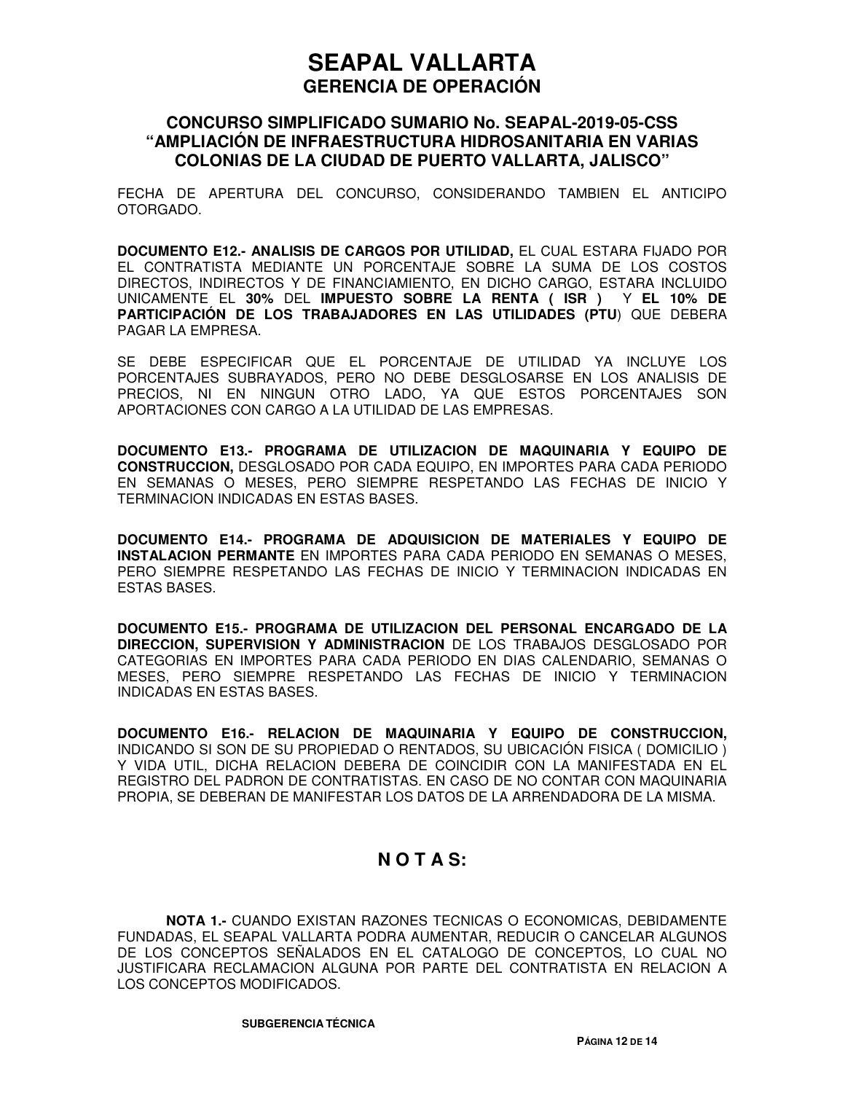### **CONCURSO SIMPLIFICADO SUMARIO No. SEAPAL-2019-05-CSS "AMPLIACIÓN DE INFRAESTRUCTURA HIDROSANITARIA EN VARIAS COLONIAS DE LA CIUDAD DE PUERTO VALLARTA, JALISCO"**

FECHA DE APERTURA DEL CONCURSO, CONSIDERANDO TAMBIEN EL ANTICIPO OTORGADO.

**DOCUMENTO E12.- ANALISIS DE CARGOS POR UTILIDAD,** EL CUAL ESTARA FIJADO POR EL CONTRATISTA MEDIANTE UN PORCENTAJE SOBRE LA SUMA DE LOS COSTOS DIRECTOS, INDIRECTOS Y DE FINANCIAMIENTO, EN DICHO CARGO, ESTARA INCLUIDO UNICAMENTE EL **30%** DEL **IMPUESTO SOBRE LA RENTA ( ISR )** Y **EL 10% DE PARTICIPACIÓN DE LOS TRABAJADORES EN LAS UTILIDADES (PTU**) QUE DEBERA PAGAR LA EMPRESA.

SE DEBE ESPECIFICAR QUE EL PORCENTAJE DE UTILIDAD YA INCLUYE LOS PORCENTAJES SUBRAYADOS, PERO NO DEBE DESGLOSARSE EN LOS ANALISIS DE PRECIOS, NI EN NINGUN OTRO LADO, YA QUE ESTOS PORCENTAJES SON APORTACIONES CON CARGO A LA UTILIDAD DE LAS EMPRESAS.

**DOCUMENTO E13.- PROGRAMA DE UTILIZACION DE MAQUINARIA Y EQUIPO DE CONSTRUCCION,** DESGLOSADO POR CADA EQUIPO, EN IMPORTES PARA CADA PERIODO EN SEMANAS O MESES, PERO SIEMPRE RESPETANDO LAS FECHAS DE INICIO Y TERMINACION INDICADAS EN ESTAS BASES.

**DOCUMENTO E14.- PROGRAMA DE ADQUISICION DE MATERIALES Y EQUIPO DE INSTALACION PERMANTE** EN IMPORTES PARA CADA PERIODO EN SEMANAS O MESES, PERO SIEMPRE RESPETANDO LAS FECHAS DE INICIO Y TERMINACION INDICADAS EN ESTAS BASES.

**DOCUMENTO E15.- PROGRAMA DE UTILIZACION DEL PERSONAL ENCARGADO DE LA DIRECCION, SUPERVISION Y ADMINISTRACION** DE LOS TRABAJOS DESGLOSADO POR CATEGORIAS EN IMPORTES PARA CADA PERIODO EN DIAS CALENDARIO, SEMANAS O MESES, PERO SIEMPRE RESPETANDO LAS FECHAS DE INICIO Y TERMINACION INDICADAS EN ESTAS BASES.

**DOCUMENTO E16.- RELACION DE MAQUINARIA Y EQUIPO DE CONSTRUCCION,** INDICANDO SI SON DE SU PROPIEDAD O RENTADOS, SU UBICACIÓN FISICA ( DOMICILIO ) Y VIDA UTIL, DICHA RELACION DEBERA DE COINCIDIR CON LA MANIFESTADA EN EL REGISTRO DEL PADRON DE CONTRATISTAS. EN CASO DE NO CONTAR CON MAQUINARIA PROPIA, SE DEBERAN DE MANIFESTAR LOS DATOS DE LA ARRENDADORA DE LA MISMA.

## **N O T A S:**

**NOTA 1.-** CUANDO EXISTAN RAZONES TECNICAS O ECONOMICAS, DEBIDAMENTE FUNDADAS, EL SEAPAL VALLARTA PODRA AUMENTAR, REDUCIR O CANCELAR ALGUNOS DE LOS CONCEPTOS SEÑALADOS EN EL CATALOGO DE CONCEPTOS, LO CUAL NO JUSTIFICARA RECLAMACION ALGUNA POR PARTE DEL CONTRATISTA EN RELACION A LOS CONCEPTOS MODIFICADOS.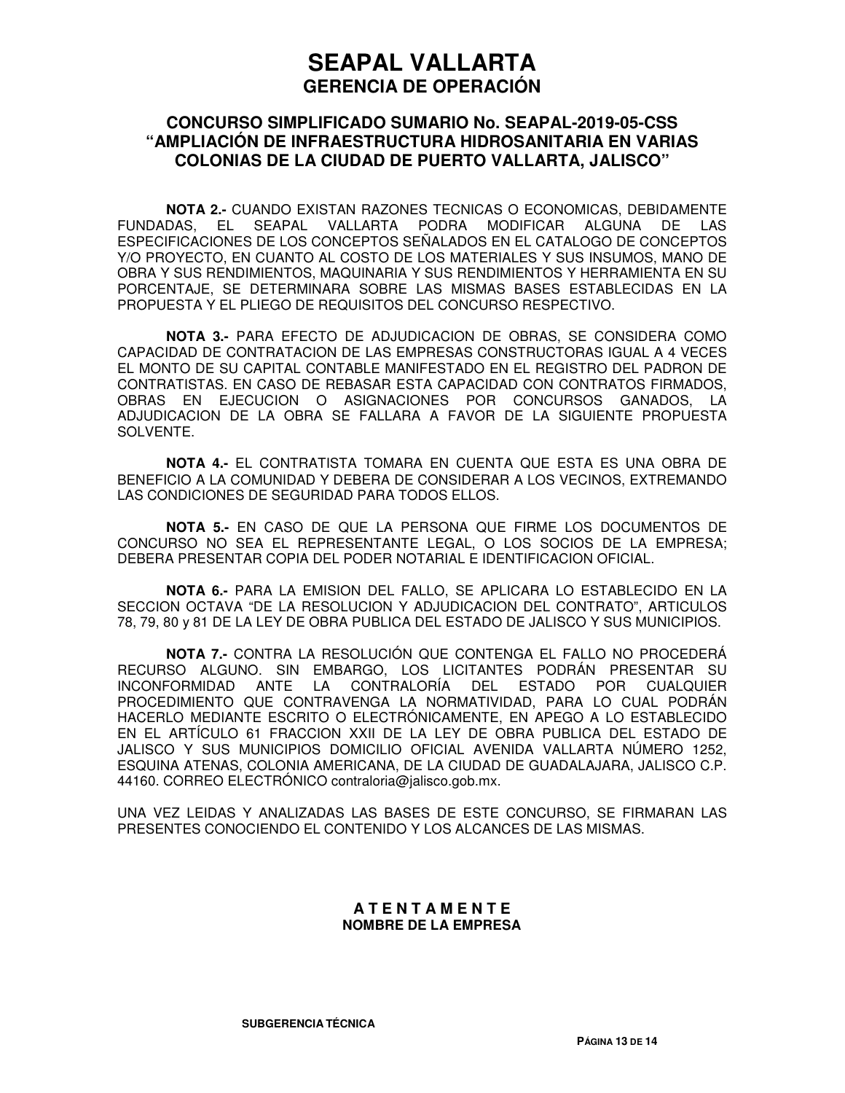### **CONCURSO SIMPLIFICADO SUMARIO No. SEAPAL-2019-05-CSS "AMPLIACIÓN DE INFRAESTRUCTURA HIDROSANITARIA EN VARIAS COLONIAS DE LA CIUDAD DE PUERTO VALLARTA, JALISCO"**

**NOTA 2.-** CUANDO EXISTAN RAZONES TECNICAS O ECONOMICAS, DEBIDAMENTE FUNDADAS, EL SEAPAL VALLARTA PODRA MODIFICAR ALGUNA DE LAS ESPECIFICACIONES DE LOS CONCEPTOS SEÑALADOS EN EL CATALOGO DE CONCEPTOS Y/O PROYECTO, EN CUANTO AL COSTO DE LOS MATERIALES Y SUS INSUMOS, MANO DE OBRA Y SUS RENDIMIENTOS, MAQUINARIA Y SUS RENDIMIENTOS Y HERRAMIENTA EN SU PORCENTAJE, SE DETERMINARA SOBRE LAS MISMAS BASES ESTABLECIDAS EN LA PROPUESTA Y EL PLIEGO DE REQUISITOS DEL CONCURSO RESPECTIVO.

**NOTA 3.-** PARA EFECTO DE ADJUDICACION DE OBRAS, SE CONSIDERA COMO CAPACIDAD DE CONTRATACION DE LAS EMPRESAS CONSTRUCTORAS IGUAL A 4 VECES EL MONTO DE SU CAPITAL CONTABLE MANIFESTADO EN EL REGISTRO DEL PADRON DE CONTRATISTAS. EN CASO DE REBASAR ESTA CAPACIDAD CON CONTRATOS FIRMADOS, OBRAS EN EJECUCION O ASIGNACIONES POR CONCURSOS GANADOS, LA ADJUDICACION DE LA OBRA SE FALLARA A FAVOR DE LA SIGUIENTE PROPUESTA SOLVENTE.

**NOTA 4.-** EL CONTRATISTA TOMARA EN CUENTA QUE ESTA ES UNA OBRA DE BENEFICIO A LA COMUNIDAD Y DEBERA DE CONSIDERAR A LOS VECINOS, EXTREMANDO LAS CONDICIONES DE SEGURIDAD PARA TODOS ELLOS.

**NOTA 5.-** EN CASO DE QUE LA PERSONA QUE FIRME LOS DOCUMENTOS DE CONCURSO NO SEA EL REPRESENTANTE LEGAL, O LOS SOCIOS DE LA EMPRESA; DEBERA PRESENTAR COPIA DEL PODER NOTARIAL E IDENTIFICACION OFICIAL.

**NOTA 6.-** PARA LA EMISION DEL FALLO, SE APLICARA LO ESTABLECIDO EN LA SECCION OCTAVA "DE LA RESOLUCION Y ADJUDICACION DEL CONTRATO", ARTICULOS 78, 79, 80 y 81 DE LA LEY DE OBRA PUBLICA DEL ESTADO DE JALISCO Y SUS MUNICIPIOS.

**NOTA 7.-** CONTRA LA RESOLUCIÓN QUE CONTENGA EL FALLO NO PROCEDERÁ RECURSO ALGUNO. SIN EMBARGO, LOS LICITANTES PODRÁN PRESENTAR SU INCONFORMIDAD ANTE LA CONTRALORÍA DEL ESTADO POR CUALQUIER PROCEDIMIENTO QUE CONTRAVENGA LA NORMATIVIDAD, PARA LO CUAL PODRÁN HACERLO MEDIANTE ESCRITO O ELECTRÓNICAMENTE, EN APEGO A LO ESTABLECIDO EN EL ARTÍCULO 61 FRACCION XXII DE LA LEY DE OBRA PUBLICA DEL ESTADO DE JALISCO Y SUS MUNICIPIOS DOMICILIO OFICIAL AVENIDA VALLARTA NÚMERO 1252, ESQUINA ATENAS, COLONIA AMERICANA, DE LA CIUDAD DE GUADALAJARA, JALISCO C.P. 44160. CORREO ELECTRÓNICO contraloria@jalisco.gob.mx.

UNA VEZ LEIDAS Y ANALIZADAS LAS BASES DE ESTE CONCURSO, SE FIRMARAN LAS PRESENTES CONOCIENDO EL CONTENIDO Y LOS ALCANCES DE LAS MISMAS.

#### **A T E N T A M E N T E NOMBRE DE LA EMPRESA**